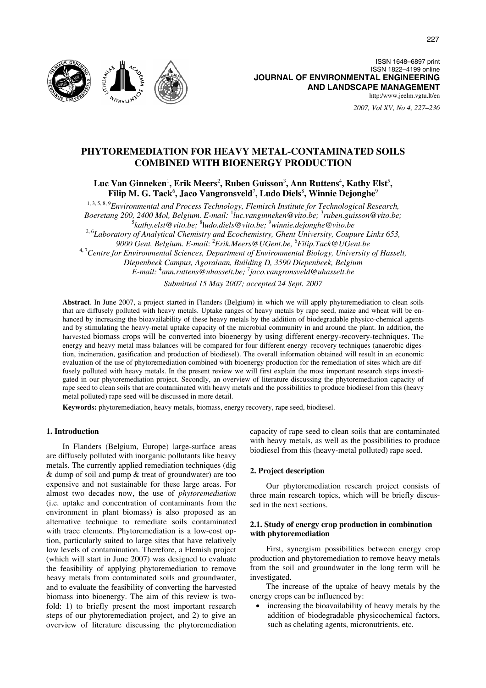

*2007, Vol XV, No 4, 227–236*

# **PHYTOREMEDIATION FOR HEAVY METAL-CONTAMINATED SOILS COMBINED WITH BIOENERGY PRODUCTION**

Luc Van Ginneken<sup>1</sup>, Erik Meers<sup>2</sup>, Ruben Guisson<sup>3</sup>, Ann Ruttens<sup>4</sup>, Kathy Elst<sup>5</sup>,  $\mathbf{Filip}$  M. G. Tack $^6$ , Jaco Vangronsveld<sup>7</sup>, Ludo Diels $^8$ , Winnie Dejonghe $^9$ 

1, 3, 5, 8, 9*Environmental and Process Technology, Flemisch Institute for Technological Research, Boeretang 200, 2400 Mol, Belgium. E-mail:* <sup>1</sup> *luc.vanginneken@vito.be;* <sup>3</sup> *ruben.guisson@vito.be;*  5 *kathy.elst@vito.be;* <sup>8</sup> l*udo.diels@vito.be;* <sup>9</sup> *winnie.dejonghe@vito.be*  <sup>2, 6</sup>Laboratory of Analytical Chemistry and Ecochemistry, Ghent University, Coupure Links 653, *9000 Gent, Belgium. E-mail*: 2 *Erik.Meers@UGent.be,* <sup>6</sup> *Filip.Tack@UGent.be*  4, 7*Centre for Environmental Sciences, Department of Environmental Biology, University of Hasselt, Diepenbeek Campus, Agoralaan, Building D, 3590 Diepenbeek, Belgium E-mail:* <sup>4</sup> *ann.ruttens@uhasselt.be;* <sup>7</sup> *jaco.vangronsveld@uhasselt.be Submitted 15 May 2007; accepted 24 Sept. 2007* 

**Abstract**. In June 2007, a project started in Flanders (Belgium) in which we will apply phytoremediation to clean soils that are diffusely polluted with heavy metals. Uptake ranges of heavy metals by rape seed, maize and wheat will be enhanced by increasing the bioavailability of these heavy metals by the addition of biodegradable physico-chemical agents and by stimulating the heavy-metal uptake capacity of the microbial community in and around the plant. In addition, the harvested biomass crops will be converted into bioenergy by using different energy-recovery-techniques. The energy and heavy metal mass balances will be compared for four different energy–recovery techniques (anaerobic digestion, incineration, gasification and production of biodiesel). The overall information obtained will result in an economic evaluation of the use of phytoremediation combined with bioenergy production for the remediation of sites which are diffusely polluted with heavy metals. In the present review we will first explain the most important research steps investigated in our phytoremediation project. Secondly, an overview of literature discussing the phytoremediation capacity of rape seed to clean soils that are contaminated with heavy metals and the possibilities to produce biodiesel from this (heavy metal polluted) rape seed will be discussed in more detail.

**Keywords:** phytoremediation, heavy metals, biomass, energy recovery, rape seed, biodiesel.

#### **1. Introduction**

In Flanders (Belgium, Europe) large-surface areas are diffusely polluted with inorganic pollutants like heavy metals. The currently applied remediation techniques (dig & dump of soil and pump & treat of groundwater) are too expensive and not sustainable for these large areas. For almost two decades now, the use of *phytoremediation* (i.e. uptake and concentration of contaminants from the environment in plant biomass) is also proposed as an alternative technique to remediate soils contaminated with trace elements. Phytoremediation is a low-cost option, particularly suited to large sites that have relatively low levels of contamination. Therefore, a Flemish project (which will start in June 2007) was designed to evaluate the feasibility of applying phytoremediation to remove heavy metals from contaminated soils and groundwater, and to evaluate the feasibility of converting the harvested biomass into bioenergy. The aim of this review is twofold: 1) to briefly present the most important research steps of our phytoremediation project, and 2) to give an overview of literature discussing the phytoremediation

capacity of rape seed to clean soils that are contaminated with heavy metals, as well as the possibilities to produce biodiesel from this (heavy-metal polluted) rape seed.

#### **2. Project description**

Our phytoremediation research project consists of three main research topics, which will be briefly discussed in the next sections.

# **2.1. Study of energy crop production in combination with phytoremediation**

First, synergism possibilities between energy crop production and phytoremediation to remove heavy metals from the soil and groundwater in the long term will be investigated.

The increase of the uptake of heavy metals by the energy crops can be influenced by:

• increasing the bioavailability of heavy metals by the addition of biodegradable physicochemical factors, such as chelating agents, micronutrients, etc.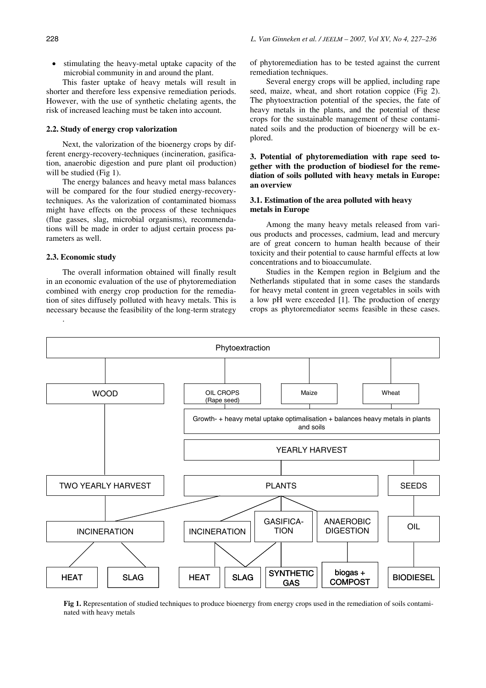• stimulating the heavy-metal uptake capacity of the microbial community in and around the plant.

This faster uptake of heavy metals will result in shorter and therefore less expensive remediation periods. However, with the use of synthetic chelating agents, the risk of increased leaching must be taken into account.

# **2.2. Study of energy crop valorization**

Next, the valorization of the bioenergy crops by different energy-recovery-techniques (incineration, gasification, anaerobic digestion and pure plant oil production) will be studied (Fig 1).

The energy balances and heavy metal mass balances will be compared for the four studied energy-recoverytechniques. As the valorization of contaminated biomass might have effects on the process of these techniques (flue gasses, slag, microbial organisms), recommendations will be made in order to adjust certain process parameters as well.

# **2.3. Economic study**

.

The overall information obtained will finally result in an economic evaluation of the use of phytoremediation combined with energy crop production for the remediation of sites diffusely polluted with heavy metals. This is necessary because the feasibility of the long-term strategy of phytoremediation has to be tested against the current remediation techniques.

Several energy crops will be applied, including rape seed, maize, wheat, and short rotation coppice (Fig 2). The phytoextraction potential of the species, the fate of heavy metals in the plants, and the potential of these crops for the sustainable management of these contaminated soils and the production of bioenergy will be explored.

**3. Potential of phytoremediation with rape seed together with the production of biodiesel for the remediation of soils polluted with heavy metals in Europe: an overview** 

# **3.1. Estimation of the area polluted with heavy metals in Europe**

Among the many heavy metals released from various products and processes, cadmium, lead and mercury are of great concern to human health because of their toxicity and their potential to cause harmful effects at low concentrations and to bioaccumulate.

Studies in the Kempen region in Belgium and the Netherlands stipulated that in some cases the standards for heavy metal content in green vegetables in soils with a low pH were exceeded [1]. The production of energy crops as phytoremediator seems feasible in these cases.



**Fig 1.** Representation of studied techniques to produce bioenergy from energy crops used in the remediation of soils contaminated with heavy metals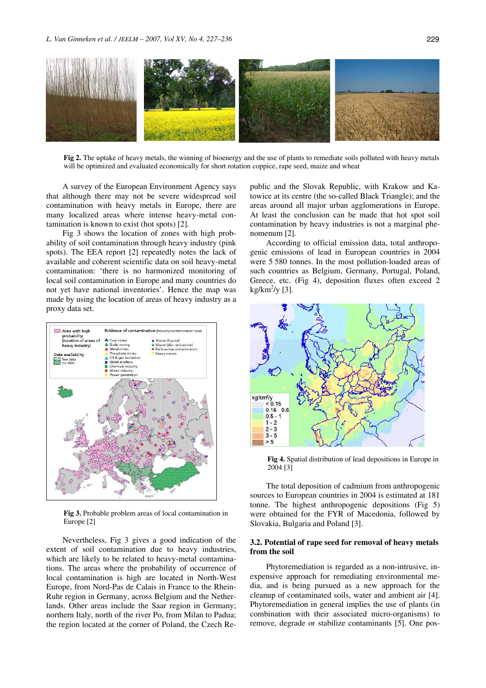

**Fig 2.** The uptake of heavy metals, the winning of bioenergy and the use of plants to remediate soils polluted with heavy metals will be optimized and evaluated economically for short rotation coppice, rape seed, maize and wheat

A survey of the European Environment Agency says that although there may not be severe widespread soil contamination with heavy metals in Europe, there are many localized areas where intense heavy-metal contamination is known to exist (hot spots) [2].

Fig 3 shows the location of zones with high probability of soil contamination through heavy industry (pink spots). The EEA report [2] repeatedly notes the lack of available and coherent scientific data on soil heavy-metal contamination: 'there is no harmonized monitoring of local soil contamination in Europe and many countries do not yet have national inventories'. Hence the map was made by using the location of areas of heavy industry as a proxy data set.



**Fig 3.** Probable problem areas of local contamination in Europe [2]

Nevertheless, Fig 3 gives a good indication of the extent of soil contamination due to heavy industries, which are likely to be related to heavy-metal contaminations. The areas where the probability of occurrence of local contamination is high are located in North-West Europe, from Nord-Pas de Calais in France to the Rhein-Ruhr region in Germany, across Belgium and the Netherlands. Other areas include the Saar region in Germany; northern Italy, north of the river Po, from Milan to Padua; the region located at the corner of Poland, the Czech Republic and the Slovak Republic, with Krakow and Katowice at its centre (the so-called Black Triangle); and the areas around all major urban agglomerations in Europe. At least the conclusion can be made that hot spot soil contamination by heavy industries is not a marginal phenomenum [2]*.* 

According to official emission data, total anthropogenic emissions of lead in European countries in 2004 were 5 580 tonnes. In the most pollution-loaded areas of such countries as Belgium, Germany, Portugal, Poland, Greece, etc. (Fig 4), deposition fluxes often exceed 2 kg/km2 /y [3]*.* 



**Fig 4.** Spatial distribution of lead depositions in Europe in 2004 [3]

The total deposition of cadmium from anthropogenic sources to European countries in 2004 is estimated at 181 tonne. The highest anthropogenic depositions (Fig 5) were obtained for the FYR of Macedonia, followed by Slovakia, Bulgaria and Poland [3].

# **3.2. Potential of rape seed for removal of heavy metals from the soil**

Phytoremediation is regarded as a non-intrusive, inexpensive approach for remediating environmental media, and is being pursued as a new approach for the cleanup of contaminated soils, water and ambient air [4]. Phytoremediation in general implies the use of plants (in combination with their associated micro-organisms) to remove, degrade or stabilize contaminants [5]. One pos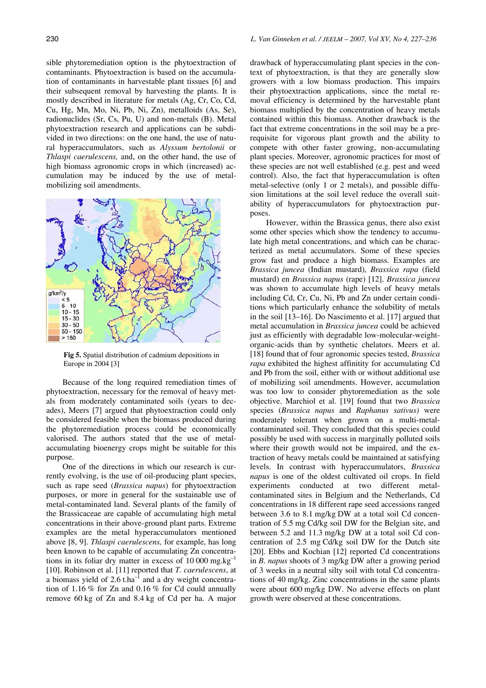sible phytoremediation option is the phytoextraction of contaminants. Phytoextraction is based on the accumulation of contaminants in harvestable plant tissues [6] and their subsequent removal by harvesting the plants. It is mostly described in literature for metals (Ag, Cr, Co, Cd, Cu, Hg, Mn, Mo, Ni, Pb, Ni, Zn), metalloids (As, Se), radionuclides (Sr, Cs, Pu, U) and non-metals (B). Metal phytoextraction research and applications can be subdivided in two directions: on the one hand, the use of natural hyperaccumulators, such as *Alyssum bertolonii* or *Thlaspi caerulescens,* and, on the other hand, the use of high biomass agronomic crops in which (increased) accumulation may be induced by the use of metalmobilizing soil amendments.



**Fig 5.** Spatial distribution of cadmium depositions in Europe in 2004 [3]

Because of the long required remediation times of phytoextraction, necessary for the removal of heavy metals from moderately contaminated soils (years to decades), Meers [7] argued that phytoextraction could only be considered feasible when the biomass produced during the phytoremediation process could be economically valorised. The authors stated that the use of metalaccumulating bioenergy crops might be suitable for this purpose.

One of the directions in which our research is currently evolving, is the use of oil-producing plant species, such as rape seed (*Brassica napus*) for phytoextraction purposes, or more in general for the sustainable use of metal-contaminated land. Several plants of the family of the Brassicaceae are capable of accumulating high metal concentrations in their above-ground plant parts. Extreme examples are the metal hyperaccumulators mentioned above [8, 9]. *Thlaspi caerulescens,* for example, has long been known to be capable of accumulating Zn concentrations in its foliar dry matter in excess of 10 000 mg.kg–1 [10]. Robinson et al. [11] reported that *T. caerulescens*, at a biomass yield of  $2.6$  t.ha<sup>-1</sup> and a dry weight concentration of 1.16 % for Zn and 0.16 % for Cd could annually remove 60 kg of Zn and 8.4 kg of Cd per ha. A major

drawback of hyperaccumulating plant species in the context of phytoextraction, is that they are generally slow growers with a low biomass production. This impairs their phytoextraction applications, since the metal removal efficiency is determined by the harvestable plant biomass multiplied by the concentration of heavy metals contained within this biomass. Another drawback is the fact that extreme concentrations in the soil may be a prerequisite for vigorous plant growth and the ability to compete with other faster growing, non-accumulating plant species. Moreover, agronomic practices for most of these species are not well established (e.g. pest and weed control). Also, the fact that hyperaccumulation is often metal-selective (only 1 or 2 metals), and possible diffusion limitations at the soil level reduce the overall suitability of hyperaccumulators for phytoextraction purposes.

However, within the Brassica genus, there also exist some other species which show the tendency to accumulate high metal concentrations, and which can be characterized as metal accumulators. Some of these species grow fast and produce a high biomass. Examples are *Brassica juncea* (Indian mustard), *Brassica rapa* (field mustard) en *Brassica napus* (rape) [12]. *Brassica juncea*  was shown to accumulate high levels of heavy metals including Cd, Cr, Cu, Ni, Pb and Zn under certain conditions which particularly enhance the solubility of metals in the soil [13–16]. Do Nascimento et al. [17] argued that metal accumulation in *Brassica juncea* could be achieved just as efficiently with degradable low-molecular-weightorganic-acids than by synthetic chelators. Meers et al. [18] found that of four agronomic species tested, *Brassica rapa* exhibited the highest affinitity for accumulating Cd and Pb from the soil, either with or without additional use of mobilizing soil amendments. However, accumulation was too low to consider phytoremediation as the sole objective. Marchiol et al. [19] found that two *Brassica* species (*Brassica napus* and *Raphanus sativus)* were moderately tolerant when grown on a multi-metalcontaminated soil. They concluded that this species could possibly be used with success in marginally polluted soils where their growth would not be impaired, and the extraction of heavy metals could be maintained at satisfying levels. In contrast with hyperaccumulators, *Brassica napus* is one of the oldest cultivated oil crops. In field experiments conducted at two different metalcontaminated sites in Belgium and the Netherlands, Cd concentrations in 18 different rape seed accessions ranged between 3.6 to 8.1 mg/kg DW at a total soil Cd concentration of 5.5 mg Cd/kg soil DW for the Belgian site, and between 5.2 and 11.3 mg/kg DW at a total soil Cd concentration of 2.5 mg Cd/kg soil DW for the Dutch site [20]. Ebbs and Kochian [12] reported Cd concentrations in *B. napus* shoots of 3 mg/kg DW after a growing period of 3 weeks in a neutral silty soil with total Cd concentrations of 40 mg/kg. Zinc concentrations in the same plants were about 600 mg/kg DW. No adverse effects on plant growth were observed at these concentrations.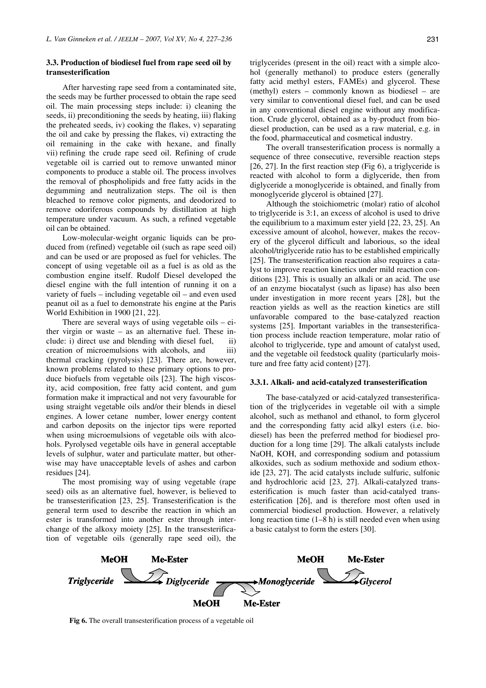# **3.3. Production of biodiesel fuel from rape seed oil by transesterification**

After harvesting rape seed from a contaminated site, the seeds may be further processed to obtain the rape seed oil. The main processing steps include: i) cleaning the seeds, ii) preconditioning the seeds by heating, iii) flaking the preheated seeds, iv) cooking the flakes, v) separating the oil and cake by pressing the flakes, vi) extracting the oil remaining in the cake with hexane, and finally vii) refining the crude rape seed oil. Refining of crude vegetable oil is carried out to remove unwanted minor components to produce a stable oil. The process involves the removal of phospholipids and free fatty acids in the degumming and neutralization steps. The oil is then bleached to remove color pigments, and deodorized to remove odoriferous compounds by distillation at high temperature under vacuum. As such, a refined vegetable oil can be obtained.

Low-molecular-weight organic liquids can be produced from (refined) vegetable oil (such as rape seed oil) and can be used or are proposed as fuel for vehicles. The concept of using vegetable oil as a fuel is as old as the combustion engine itself. Rudolf Diesel developed the diesel engine with the full intention of running it on a variety of fuels – including vegetable oil – and even used peanut oil as a fuel to demonstrate his engine at the Paris World Exhibition in 1900 [21, 22].

There are several ways of using vegetable oils – either virgin or waste – as an alternative fuel. These include: i) direct use and blending with diesel fuel, ii) creation of microemulsions with alcohols, and iii) thermal cracking (pyrolysis) [23]. There are, however, known problems related to these primary options to produce biofuels from vegetable oils [23]. The high viscosity, acid composition, free fatty acid content, and gum formation make it impractical and not very favourable for using straight vegetable oils and/or their blends in diesel engines. A lower cetane number, lower energy content and carbon deposits on the injector tips were reported when using microemulsions of vegetable oils with alcohols. Pyrolysed vegetable oils have in general acceptable levels of sulphur, water and particulate matter, but otherwise may have unacceptable levels of ashes and carbon residues [24].

The most promising way of using vegetable (rape seed) oils as an alternative fuel, however, is believed to be transesterification [23, 25]. Transesterification is the general term used to describe the reaction in which an ester is transformed into another ester through interchange of the alkoxy moiety [25]. In the transesterification of vegetable oils (generally rape seed oil), the triglycerides (present in the oil) react with a simple alcohol (generally methanol) to produce esters (generally fatty acid methyl esters, FAMEs) and glycerol. These (methyl) esters – commonly known as biodiesel – are very similar to conventional diesel fuel, and can be used in any conventional diesel engine without any modification. Crude glycerol, obtained as a by-product from biodiesel production, can be used as a raw material, e.g. in the food, pharmaceutical and cosmetical industry.

The overall transesterification process is normally a sequence of three consecutive, reversible reaction steps [26, 27]. In the first reaction step (Fig 6), a triglyceride is reacted with alcohol to form a diglyceride, then from diglyceride a monoglyceride is obtained, and finally from monoglyceride glycerol is obtained [27].

Although the stoichiometric (molar) ratio of alcohol to triglyceride is 3:1, an excess of alcohol is used to drive the equilibrium to a maximum ester yield [22, 23, 25]. An excessive amount of alcohol, however, makes the recovery of the glycerol difficult and laborious, so the ideal alcohol/triglyceride ratio has to be established empirically [25]. The transesterification reaction also requires a catalyst to improve reaction kinetics under mild reaction conditions [23]. This is usually an alkali or an acid. The use of an enzyme biocatalyst (such as lipase) has also been under investigation in more recent years [28], but the reaction yields as well as the reaction kinetics are still unfavorable compared to the base-catalyzed reaction systems [25]. Important variables in the transesterification process include reaction temperature, molar ratio of alcohol to triglyceride, type and amount of catalyst used, and the vegetable oil feedstock quality (particularly moisture and free fatty acid content) [27].

#### **3.3.1. Alkali- and acid-catalyzed transesterification**

The base-catalyzed or acid-catalyzed transesterification of the triglycerides in vegetable oil with a simple alcohol, such as methanol and ethanol, to form glycerol and the corresponding fatty acid alkyl esters (i.e. biodiesel) has been the preferred method for biodiesel production for a long time [29]. The alkali catalysts include NaOH, KOH, and corresponding sodium and potassium alkoxides, such as sodium methoxide and sodium ethoxide [23, 27]. The acid catalysts include sulfuric, sulfonic and hydrochloric acid [23, 27]. Alkali-catalyzed transesterification is much faster than acid-catalyed transesterification [26], and is therefore most often used in commercial biodiesel production. However, a relatively long reaction time (1–8 h) is still needed even when using a basic catalyst to form the esters [30].



**Fig 6.** The overall transesterification process of a vegetable oil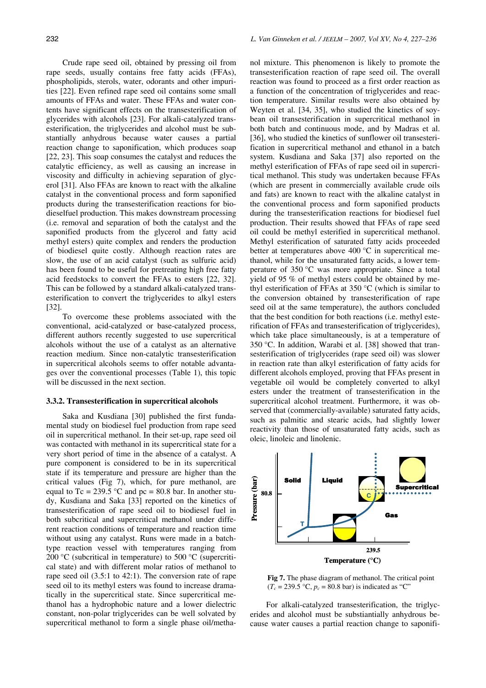Crude rape seed oil, obtained by pressing oil from rape seeds, usually contains free fatty acids (FFAs), phospholipids, sterols, water, odorants and other impurities [22]. Even refined rape seed oil contains some small amounts of FFAs and water. These FFAs and water contents have significant effects on the transesterification of glycerides with alcohols [23]. For alkali-catalyzed transesterification, the triglycerides and alcohol must be substantially anhydrous because water causes a partial reaction change to saponification, which produces soap [22, 23]. This soap consumes the catalyst and reduces the catalytic efficiency, as well as causing an increase in viscosity and difficulty in achieving separation of glycerol [31]. Also FFAs are known to react with the alkaline catalyst in the conventional process and form saponified products during the transesterification reactions for biodieselfuel production. This makes downstream processing (i.e. removal and separation of both the catalyst and the saponified products from the glycerol and fatty acid methyl esters) quite complex and renders the production of biodiesel quite costly. Although reaction rates are slow, the use of an acid catalyst (such as sulfuric acid) has been found to be useful for pretreating high free fatty acid feedstocks to convert the FFAs to esters [22, 32]. This can be followed by a standard alkali-catalyzed transesterification to convert the triglycerides to alkyl esters [32].

To overcome these problems associated with the conventional, acid-catalyzed or base-catalyzed process, different authors recently suggested to use supercritical alcohols without the use of a catalyst as an alternative reaction medium. Since non-catalytic transesterification in supercritical alcohols seems to offer notable advantages over the conventional processes (Table 1), this topic will be discussed in the next section.

### **3.3.2. Transesterification in supercritical alcohols**

Saka and Kusdiana [30] published the first fundamental study on biodiesel fuel production from rape seed oil in supercritical methanol. In their set-up, rape seed oil was contacted with methanol in its supercritical state for a very short period of time in the absence of a catalyst. A pure component is considered to be in its supercritical state if its temperature and pressure are higher than the critical values (Fig 7), which, for pure methanol, are equal to Tc = 239.5 °C and pc = 80.8 bar. In another study, Kusdiana and Saka [33] reported on the kinetics of transesterification of rape seed oil to biodiesel fuel in both subcritical and supercritical methanol under different reaction conditions of temperature and reaction time without using any catalyst. Runs were made in a batchtype reaction vessel with temperatures ranging from 200 °C (subcritical in temperature) to 500 °C (supercritical state) and with different molar ratios of methanol to rape seed oil (3.5:1 to 42:1). The conversion rate of rape seed oil to its methyl esters was found to increase dramatically in the supercritical state. Since supercritical methanol has a hydrophobic nature and a lower dielectric constant, non-polar triglycerides can be well solvated by supercritical methanol to form a single phase oil/methanol mixture. This phenomenon is likely to promote the transesterification reaction of rape seed oil. The overall reaction was found to proceed as a first order reaction as a function of the concentration of triglycerides and reaction temperature. Similar results were also obtained by Weyten et al. [34, 35], who studied the kinetics of soybean oil transesterification in supercritical methanol in both batch and continuous mode, and by Madras et al. [36], who studied the kinetics of sunflower oil transesterification in supercritical methanol and ethanol in a batch system. Kusdiana and Saka [37] also reported on the methyl esterification of FFAs of rape seed oil in supercritical methanol. This study was undertaken because FFAs (which are present in commercially available crude oils and fats) are known to react with the alkaline catalyst in the conventional process and form saponified products during the transesterification reactions for biodiesel fuel production. Their results showed that FFAs of rape seed oil could be methyl esterified in supercritical methanol. Methyl esterification of saturated fatty acids proceeded better at temperatures above 400 °C in supercritical methanol, while for the unsaturated fatty acids, a lower temperature of 350 °C was more appropriate. Since a total yield of 95 % of methyl esters could be obtained by methyl esterification of FFAs at 350 °C (which is similar to the conversion obtained by transesterification of rape seed oil at the same temperature), the authors concluded that the best condition for both reactions (i.e. methyl esterification of FFAs and transesterification of triglycerides), which take place simultaneously, is at a temperature of 350 °C. In addition, Warabi et al. [38] showed that transesterification of triglycerides (rape seed oil) was slower in reaction rate than alkyl esterification of fatty acids for different alcohols employed, proving that FFAs present in vegetable oil would be completely converted to alkyl esters under the treatment of transesterification in the supercritical alcohol treatment. Furthermore, it was observed that (commercially-available) saturated fatty acids, such as palmitic and stearic acids, had slightly lower reactivity than those of unsaturated fatty acids, such as oleic, linoleic and linolenic.



**Fig 7.** The phase diagram of methanol. The critical point  $(T_c = 239.5 \text{ °C}, p_c = 80.8 \text{ bar})$  is indicated as "C"

For alkali-catalyzed transesterification, the triglycerides and alcohol must be substiantially anhydrous because water causes a partial reaction change to saponifi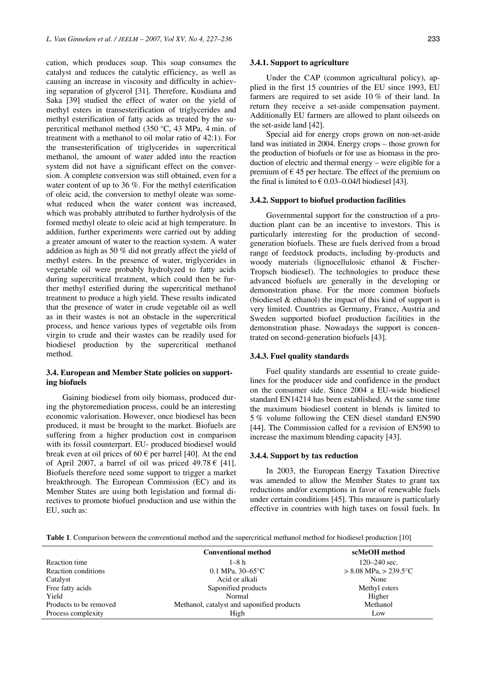cation, which produces soap. This soap consumes the catalyst and reduces the catalytic efficiency, as well as causing an increase in viscosity and difficulty in achieving separation of glycerol [31]. Therefore, Kusdiana and Saka [39] studied the effect of water on the yield of methyl esters in transesterification of triglycerides and methyl esterification of fatty acids as treated by the supercritical methanol method (350 °C, 43 MPa, 4 min. of treatment with a methanol to oil molar ratio of 42:1). For the transesterification of triglycerides in supercritical methanol, the amount of water added into the reaction system did not have a significant effect on the conversion. A complete conversion was still obtained, even for a water content of up to 36 %. For the methyl esterification of oleic acid, the conversion to methyl oleate was somewhat reduced when the water content was increased, which was probably attributed to further hydrolysis of the formed methyl oleate to oleic acid at high temperature. In addition, further experiments were carried out by adding a greater amount of water to the reaction system. A water addition as high as 50 % did not greatly affect the yield of methyl esters. In the presence of water, triglycerides in vegetable oil were probably hydrolyzed to fatty acids during supercritical treatment, which could then be further methyl esterified during the supercritical methanol treatment to produce a high yield. These results indicated that the presence of water in crude vegetable oil as well as in their wastes is not an obstacle in the supercritical process, and hence various types of vegetable oils from virgin to crude and their wastes can be readily used for biodiesel production by the supercritical methanol method.

# **3.4. European and Member State policies on supporting biofuels**

Gaining biodiesel from oily biomass, produced during the phytoremediation process, could be an interesting economic valorisation. However, once biodiesel has been produced, it must be brought to the market. Biofuels are suffering from a higher production cost in comparison with its fossil counterpart. EU- produced biodiesel would break even at oil prices of 60  $\epsilon$  per barrel [40]. At the end of April 2007, a barrel of oil was priced  $49.78 \in [41]$ . Biofuels therefore need some support to trigger a market breakthrough. The European Commission (EC) and its Member States are using both legislation and formal directives to promote biofuel production and use within the EU, such as:

#### **3.4.1. Support to agriculture**

Under the CAP (common agricultural policy), applied in the first 15 countries of the EU since 1993, EU farmers are required to set aside 10 % of their land. In return they receive a set-aside compensation payment. Additionally EU farmers are allowed to plant oilseeds on the set-aside land [42].

Special aid for energy crops grown on non-set-aside land was initiated in 2004. Energy crops – those grown for the production of biofuels or for use as biomass in the production of electric and thermal energy – were eligible for a premium of  $\epsilon$  45 per hectare. The effect of the premium on the final is limited to  $\epsilon$  0.03–0.04/l biodiesel [43].

# **3.4.2. Support to biofuel production facilities**

Governmental support for the construction of a production plant can be an incentive to investors. This is particularly interesting for the production of secondgeneration biofuels. These are fuels derived from a broad range of feedstock products, including by-products and woody materials (lignocellulosic ethanol & Fischer-Tropsch biodiesel). The technologies to produce these advanced biofuels are generally in the developing or demonstration phase. For the more common biofuels (biodiesel & ethanol) the impact of this kind of support is very limited. Countries as Germany, France, Austria and Sweden supported biofuel production facilities in the demonstration phase. Nowadays the support is concentrated on second-generation biofuels [43].

#### **3.4.3. Fuel quality standards**

Fuel quality standards are essential to create guidelines for the producer side and confidence in the product on the consumer side. Since 2004 a EU-wide biodiesel standard EN14214 has been established. At the same time the maximum biodiesel content in blends is limited to 5 % volume following the CEN diesel standard EN590 [44]. The Commission called for a revision of EN590 to increase the maximum blending capacity [43].

#### **3.4.4. Support by tax reduction**

In 2003, the European Energy Taxation Directive was amended to allow the Member States to grant tax reductions and/or exemptions in favor of renewable fuels under certain conditions [45]. This measure is particularly effective in countries with high taxes on fossil fuels. In

**Table 1**. Comparison between the conventional method and the supercritical methanol method for biodiesel production [10]

|                        | <b>Conventional method</b>                 | scMeOH method              |
|------------------------|--------------------------------------------|----------------------------|
| Reaction time          | 1–8 h                                      | $120 - 240$ sec.           |
| Reaction conditions    | 0.1 MPa, $30-65^{\circ}$ C                 | $> 8.08$ MPa, $> 239.5$ °C |
| Catalyst               | Acid or alkali                             | None                       |
| Free fatty acids       | Saponified products                        | Methyl esters              |
| Yield                  | Normal                                     | Higher                     |
| Products to be removed | Methanol, catalyst and saponified products | Methanol                   |
| Process complexity     | High                                       | Low                        |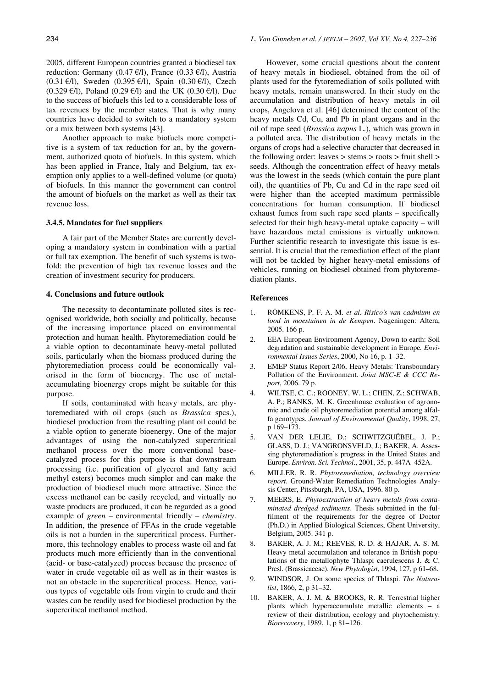2005, different European countries granted a biodiesel tax reduction: Germany (0.47 €/l), France (0.33 €/l), Austria (0.31 €/l), Sweden (0.395 €/l), Spain (0.30 €/l), Czech (0.329 €/l), Poland (0.29 €/l) and the UK (0.30 €/l). Due to the success of biofuels this led to a considerable loss of tax revenues by the member states. That is why many countries have decided to switch to a mandatory system or a mix between both systems [43].

Another approach to make biofuels more competitive is a system of tax reduction for an, by the government, authorized quota of biofuels. In this system, which has been applied in France, Italy and Belgium, tax exemption only applies to a well-defined volume (or quota) of biofuels. In this manner the government can control the amount of biofuels on the market as well as their tax revenue loss.

# **3.4.5. Mandates for fuel suppliers**

A fair part of the Member States are currently developing a mandatory system in combination with a partial or full tax exemption. The benefit of such systems is twofold: the prevention of high tax revenue losses and the creation of investment security for producers.

## **4. Conclusions and future outlook**

The necessity to decontaminate polluted sites is recognised worldwide, both socially and politically, because of the increasing importance placed on environmental protection and human health. Phytoremediation could be a viable option to decontaminate heavy-metal polluted soils, particularly when the biomass produced during the phytoremediation process could be economically valorised in the form of bioenergy. The use of metalaccumulating bioenergy crops might be suitable for this purpose.

If soils, contaminated with heavy metals, are phytoremediated with oil crops (such as *Brassica* spcs.), biodiesel production from the resulting plant oil could be a viable option to generate bioenergy. One of the major advantages of using the non-catalyzed supercritical methanol process over the more conventional basecatalyzed process for this purpose is that downstream processing (i.e. purification of glycerol and fatty acid methyl esters) becomes much simpler and can make the production of biodiesel much more attractive. Since the excess methanol can be easily recycled, and virtually no waste products are produced, it can be regarded as a good example of *green –* environmental friendly – *chemistry*. In addition, the presence of FFAs in the crude vegetable oils is not a burden in the supercritical process. Furthermore, this technology enables to process waste oil and fat products much more efficiently than in the conventional (acid- or base-catalyzed) process because the presence of water in crude vegetable oil as well as in their wastes is not an obstacle in the supercritical process. Hence, various types of vegetable oils from virgin to crude and their wastes can be readily used for biodiesel production by the supercritical methanol method.

However, some crucial questions about the content of heavy metals in biodiesel, obtained from the oil of plants used for the fytoremediation of soils polluted with heavy metals, remain unanswered. In their study on the accumulation and distribution of heavy metals in oil crops, Angelova et al. [46] determined the content of the heavy metals Cd, Cu, and Pb in plant organs and in the oil of rape seed (*Brassica napus* L.), which was grown in a polluted area. The distribution of heavy metals in the organs of crops had a selective character that decreased in the following order: leaves > stems > roots > fruit shell > seeds. Although the concentration effect of heavy metals was the lowest in the seeds (which contain the pure plant oil), the quantities of Pb, Cu and Cd in the rape seed oil were higher than the accepted maximum permissible concentrations for human consumption. If biodiesel exhaust fumes from such rape seed plants – specifically selected for their high heavy-metal uptake capacity – will have hazardous metal emissions is virtually unknown. Further scientific research to investigate this issue is essential. It is crucial that the remediation effect of the plant will not be tackled by higher heavy-metal emissions of vehicles, running on biodiesel obtained from phytoremediation plants.

#### **References**

- 1. RÖMKENS, P. F. A. M. *et al*. *Risico's van cadmium en lood in moestuinen in de Kempen*. Nageningen: Altera, 2005. 166 p.
- 2. EEA European Environment Agency, Down to earth: Soil degradation and sustainable development in Europe*. Environmental Issues Series*, 2000, No 16, p. 1–32.
- 3. EMEP Status Report 2/06, Heavy Metals: Transboundary Pollution of the Environment. *Joint MSC-E & CCC Report*, 2006. 79 p.
- 4. WILTSE, C. C.; ROONEY, W. L.; CHEN, Z.; SCHWAB, A. P.; BANKS, M. K. Greenhouse evaluation of agronomic and crude oil phytoremediation potential among alfalfa genotypes. *Journal of Environmental Quality*, 1998, 27, p 169–173.
- 5. VAN DER LELIE, D.; SCHWITZGUÉBEL, J. P.; GLASS, D. J.; VANGRONSVELD, J.; BAKER, A. Assessing phytoremediation's progress in the United States and Europe. *Environ. Sci. Technol*., 2001, 35, p. 447A–452A.
- 6. MILLER, R. R. *Phytoremediation, technology overview report*. Ground-Water Remediation Technologies Analysis Center, Pitssburgh, PA, USA, 1996. 80 p.
- 7. MEERS, E. *Phytoextraction of heavy metals from contaminated dredged sediments*. Thesis submitted in the fulfilment of the requirements for the degree of Doctor (Ph.D.) in Applied Biological Sciences, Ghent University, Belgium, 2005. 341 p.
- 8. BAKER, A. J. M.; REEVES, R. D. & HAJAR, A. S. M. Heavy metal accumulation and tolerance in British populations of the metallophyte Thlaspi caerulescens J. & C. Presl. (Brassicaceae). *New Phytologist*, 1994, 127, p 61–68.
- 9. WINDSOR, J. On some species of Thlaspi. *The Naturalist*, 1866, 2, p 31–32.
- 10. BAKER, A. J. M. & BROOKS, R. R. Terrestrial higher plants which hyperaccumulate metallic elements – a review of their distribution, ecology and phytochemistry. *Biorecovery*, 1989, 1, p 81–126.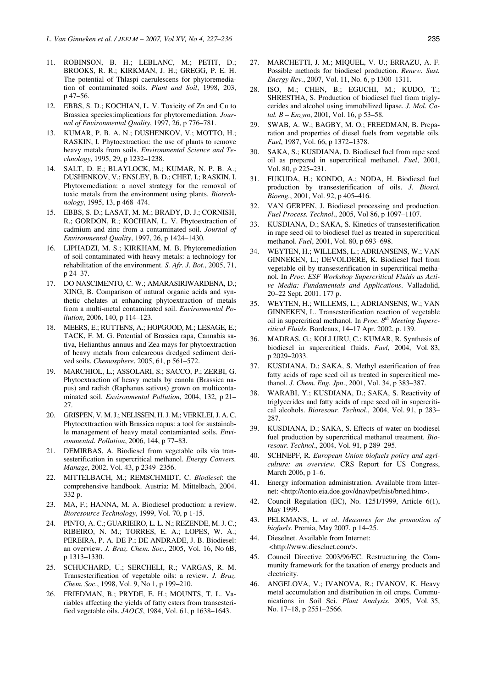- 11. ROBINSON, B. H.; LEBLANC, M.; PETIT, D.; BROOKS, R. R.; KIRKMAN, J. H.; GREGG, P. E. H. The potential of Thlaspi caerulescens for phytoremediation of contaminated soils. *Plant and Soil*, 1998, 203, p 47–56.
- 12. EBBS, S. D.; KOCHIAN, L. V. Toxicity of Zn and Cu to Brassica species:implications for phytoremediation. *Journal of Environmental Quality*, 1997, 26, p 776–781.
- 13. KUMAR, P. B. A. N.; DUSHENKOV, V.; MOTTO, H.; RASKIN, I. Phytoextraction: the use of plants to remove heavy metals from soils. *Environmental Science and Technology*, 1995, 29, p 1232–1238.
- 14. SALT, D. E.; BLAYLOCK, M.; KUMAR, N. P. B. A.; DUSHENKOV, V.; ENSLEY, B. D.; CHET, I.; RASKIN, I. Phytoremediation: a novel strategy for the removal of toxic metals from the environment using plants. *Biotechnology*, 1995, 13, p 468–474.
- 15. EBBS, S. D.; LASAT, M. M.; BRADY, D. J.; CORNISH, R.; GORDON, R.; KOCHIAN, L. V. Phytoextraction of cadmium and zinc from a contaminated soil. *Journal of Environmental Quality*, 1997, 26, p 1424–1430.
- 16. LIPHADZI, M. S.; KIRKHAM, M. B. Phytoremediation of soil contaminated with heavy metals: a technology for rehabilitation of the environment. *S. Afr. J. Bot*., 2005, 71, p 24–37.
- 17. DO NASCIMENTO, C. W.; AMARASIRIWARDENA, D.; XING, B. Comparison of natural organic acids and synthetic chelates at enhancing phytoextraction of metals from a multi-metal contaminated soil. *Environmental Pollution*, 2006, 140, p 114–123.
- MEERS, E.; RUTTENS, A.; HOPGOOD, M.; LESAGE, E.; TACK, F. M. G. Potential of Brassica rapa, Cannabis sativa, Helianthus annuus and Zea mays for phytoextraction of heavy metals from calcareous dredged sediment derived soils. *Chemosphere*, 2005, 61, p 561–572.
- 19. MARCHIOL, L.; ASSOLARI, S.; SACCO, P.; ZERBI, G. Phytoextraction of heavy metals by canola (Brassica napus) and radish (Raphanus sativus) grown on multicontaminated soil. *Environmental Pollution*, 2004, 132, p 21– 27.
- 20. GRISPEN, V. M. J.; NELISSEN, H. J. M.; VERKLEI, J. A. C. Phytoexttraction with Brassica napus: a tool for sustainable management of heavy metal contamianted soils. *Environmental. Pollution*, 2006, 144, p 77–83.
- 21. DEMIRBAS, A. Biodiesel from vegetable oils via transesterification in supercritical methanol. *Energy Convers. Manage*, 2002, Vol. 43, p 2349–2356.
- 22. MITTELBACH, M.; REMSCHMIDT, C. *Biodiesel*: the comprehensive handbook. Austria: M. Mittelbach, 2004. 332 p.
- 23. MA, F.; HANNA, M. A. Biodiesel production: a review. *Bioresource Technology*, 1999, Vol. 70, p 1-15.
- 24. PINTO, A. C.; GUARIEIRO, L. L. N.; REZENDE, M. J. C.; RIBEIRO, N. M.; TORRES, E. A.; LOPES, W. A.; PEREIRA, P. A. DE P.; DE ANDRADE, J. B. Biodiesel: an overview. *J. Braz. Chem. Soc*., 2005, Vol. 16, No 6B, p 1313–1330.
- 25. SCHUCHARD, U.; SERCHELI, R.; VARGAS, R. M. Transesterification of vegetable oils: a review. *J. Braz. Chem. Soc*., 1998, Vol. 9, No 1, p 199–210.
- 26. FRIEDMAN, B.; PRYDE, E. H.; MOUNTS, T. L. Variables affecting the yields of fatty esters from transesterified vegetable oils. *JAOCS*, 1984, Vol. 61, p 1638–1643.
- 27. MARCHETTI, J. M.; MIQUEL, V. U.; ERRAZU, A. F. Possible methods for biodiesel production. *Renew. Sust. Energy Rev.*, 2007, Vol. 11, No. 6, p 1300–1311.
- 28. ISO, M.; CHEN, B.; EGUCHI, M.; KUDO, T.; SHRESTHA, S. Production of biodiesel fuel from triglycerides and alcohol using immobilized lipase. *J. Mol. Catal. B – Enzym*, 2001, Vol. 16, p 53–58.
- 29. SWAB, A. W.; BAGBY, M. O.; FREEDMAN, B. Preparation and properties of diesel fuels from vegetable oils. *Fuel*, 1987, Vol. 66, p 1372–1378.
- 30. SAKA, S.; KUSDIANA, D. Biodiesel fuel from rape seed oil as prepared in supercritical methanol. *Fuel*, 2001, Vol. 80, p 225–231.
- 31. FUKUDA, H.; KONDO, A.; NODA, H. Biodiesel fuel production by transesterification of oils. *J. Biosci. Bioeng.*, 2001, Vol. 92, p 405–416.
- 32. VAN GERPEN, J. Biodiesel processing and production. *Fuel Process. Technol*., 2005, Vol 86, p 1097–1107.
- 33. KUSDIANA, D.; SAKA, S. Kinetics of transesterification in rape seed oil to biodiesel fuel as treated in supercritical methanol. *Fuel*, 2001, Vol. 80, p 693–698.
- 34. WEYTEN, H.; WILLEMS, L.; ADRIANSENS, W.; VAN GINNEKEN, L.; DEVOLDERE, K. Biodiesel fuel from vegetable oil by transesterification in supercritical methanol. In *Proc. ESF Workshop Supercritical Fluids as Active Media: Fundamentals and Applications*. Valladolid, 20–22 Sept. 2001. 177 p.
- 35. WEYTEN, H.; WILLEMS, L.; ADRIANSENS, W.; VAN GINNEKEN, L. Transesterification reaction of vegetable oil in supercritical methanol. In *Proc. 8th Meeting Supercritical Fluids*. Bordeaux, 14–17 Apr. 2002, p. 139.
- 36. MADRAS, G.; KOLLURU, C.; KUMAR, R. Synthesis of biodiesel in supercritical fluids. *Fuel*, 2004, Vol. 83, p 2029–2033.
- 37. KUSDIANA, D.; SAKA, S. Methyl esterification of free fatty acids of rape seed oil as treated in supercritical methanol. *J. Chem. Eng. Jpn*., 2001, Vol. 34, p 383–387.
- 38. WARABI, Y.; KUSDIANA, D.; SAKA, S. Reactivity of triglycerides and fatty acids of rape seed oil in supercritical alcohols. *Bioresour. Technol*., 2004, Vol. 91, p 283– 287.
- 39. KUSDIANA, D.; SAKA, S. Effects of water on biodiesel fuel production by supercritical methanol treatment. *Bioresour. Technol*., 2004, Vol. 91, p 289–295.
- 40. SCHNEPF, R*. European Union biofuels policy and agriculture: an overview*. CRS Report for US Congress, March 2006, p 1–6.
- 41. Energy information administration. Available from Internet: <http://tonto.eia.doe.gov/dnav/pet/hist/brted.htm>.
- 42. Council Regulation (EC), No. 1251/1999, Article 6(1), May 1999.
- 43. PELKMANS, L. *et al*. *Measures for the promotion of biofuels*. Premia, May 2007, p 14–25.
- 44. Dieselnet. Available from Internet: <http://www.dieselnet.com/>.
- 45. Council Directive 2003/96/EC. Restructuring the Community framework for the taxation of energy products and electricity.
- 46. ANGELOVA, V.; IVANOVA, R.; IVANOV, K. Heavy metal accumulation and distribution in oil crops. Communications in Soil Sci. *Plant Analysis*, 2005, Vol. 35, No. 17–18, p 2551–2566.